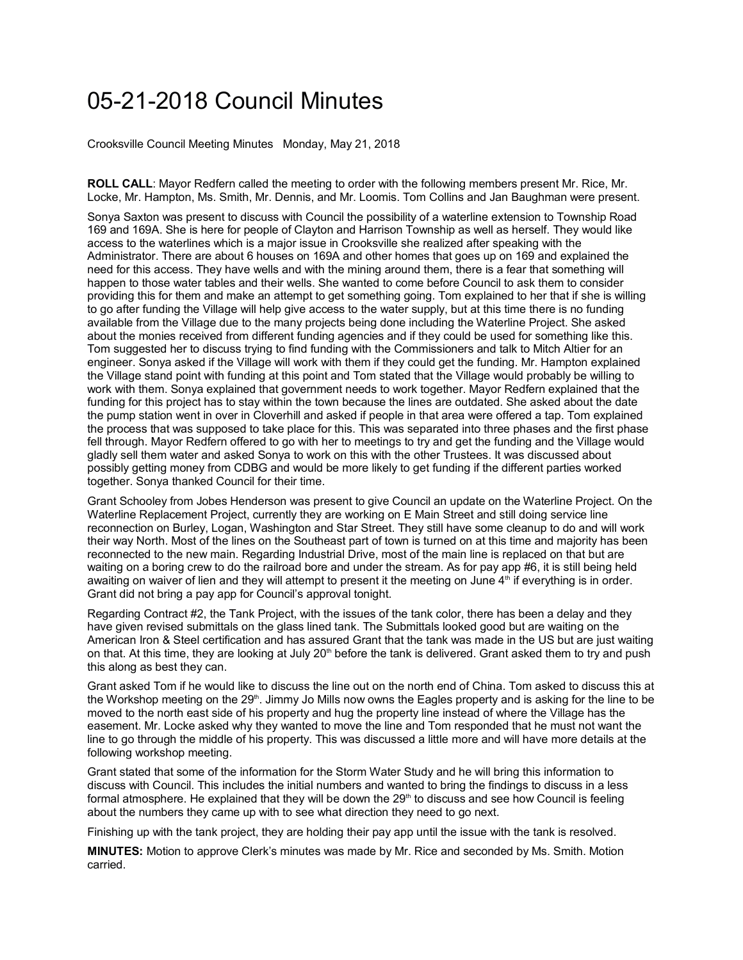## 05-21-2018 Council Minutes

Crooksville Council Meeting Minutes Monday, May 21, 2018

**ROLL CALL**: Mayor Redfern called the meeting to order with the following members present Mr. Rice, Mr. Locke, Mr. Hampton, Ms. Smith, Mr. Dennis, and Mr. Loomis. Tom Collins and Jan Baughman were present.

Sonya Saxton was present to discuss with Council the possibility of a waterline extension to Township Road 169 and 169A. She is here for people of Clayton and Harrison Township as well as herself. They would like access to the waterlines which is a major issue in Crooksville she realized after speaking with the Administrator. There are about 6 houses on 169A and other homes that goes up on 169 and explained the need for this access. They have wells and with the mining around them, there is a fear that something will happen to those water tables and their wells. She wanted to come before Council to ask them to consider providing this for them and make an attempt to get something going. Tom explained to her that if she is willing to go after funding the Village will help give access to the water supply, but at this time there is no funding available from the Village due to the many projects being done including the Waterline Project. She asked about the monies received from different funding agencies and if they could be used for something like this. Tom suggested her to discuss trying to find funding with the Commissioners and talk to Mitch Altier for an engineer. Sonya asked if the Village will work with them if they could get the funding. Mr. Hampton explained the Village stand point with funding at this point and Tom stated that the Village would probably be willing to work with them. Sonya explained that government needs to work together. Mayor Redfern explained that the funding for this project has to stay within the town because the lines are outdated. She asked about the date the pump station went in over in Cloverhill and asked if people in that area were offered a tap. Tom explained the process that was supposed to take place for this. This was separated into three phases and the first phase fell through. Mayor Redfern offered to go with her to meetings to try and get the funding and the Village would gladly sell them water and asked Sonya to work on this with the other Trustees. It was discussed about possibly getting money from CDBG and would be more likely to get funding if the different parties worked together. Sonya thanked Council for their time.

Grant Schooley from Jobes Henderson was present to give Council an update on the Waterline Project. On the Waterline Replacement Project, currently they are working on E Main Street and still doing service line reconnection on Burley, Logan, Washington and Star Street. They still have some cleanup to do and will work their way North. Most of the lines on the Southeast part of town is turned on at this time and majority has been reconnected to the new main. Regarding Industrial Drive, most of the main line is replaced on that but are waiting on a boring crew to do the railroad bore and under the stream. As for pay app #6, it is still being held awaiting on waiver of lien and they will attempt to present it the meeting on June 4<sup>th</sup> if everything is in order. Grant did not bring a pay app for Council's approval tonight.

Regarding Contract #2, the Tank Project, with the issues of the tank color, there has been a delay and they have given revised submittals on the glass lined tank. The Submittals looked good but are waiting on the American Iron & Steel certification and has assured Grant that the tank was made in the US but are just waiting on that. At this time, they are looking at July 20<sup>th</sup> before the tank is delivered. Grant asked them to try and push this along as best they can.

Grant asked Tom if he would like to discuss the line out on the north end of China. Tom asked to discuss this at the Workshop meeting on the 29<sup>th</sup>. Jimmy Jo Mills now owns the Eagles property and is asking for the line to be moved to the north east side of his property and hug the property line instead of where the Village has the easement. Mr. Locke asked why they wanted to move the line and Tom responded that he must not want the line to go through the middle of his property. This was discussed a little more and will have more details at the following workshop meeting.

Grant stated that some of the information for the Storm Water Study and he will bring this information to discuss with Council. This includes the initial numbers and wanted to bring the findings to discuss in a less formal atmosphere. He explained that they will be down the 29<sup>th</sup> to discuss and see how Council is feeling about the numbers they came up with to see what direction they need to go next.

Finishing up with the tank project, they are holding their pay app until the issue with the tank is resolved.

**MINUTES:** Motion to approve Clerk's minutes was made by Mr. Rice and seconded by Ms. Smith. Motion carried.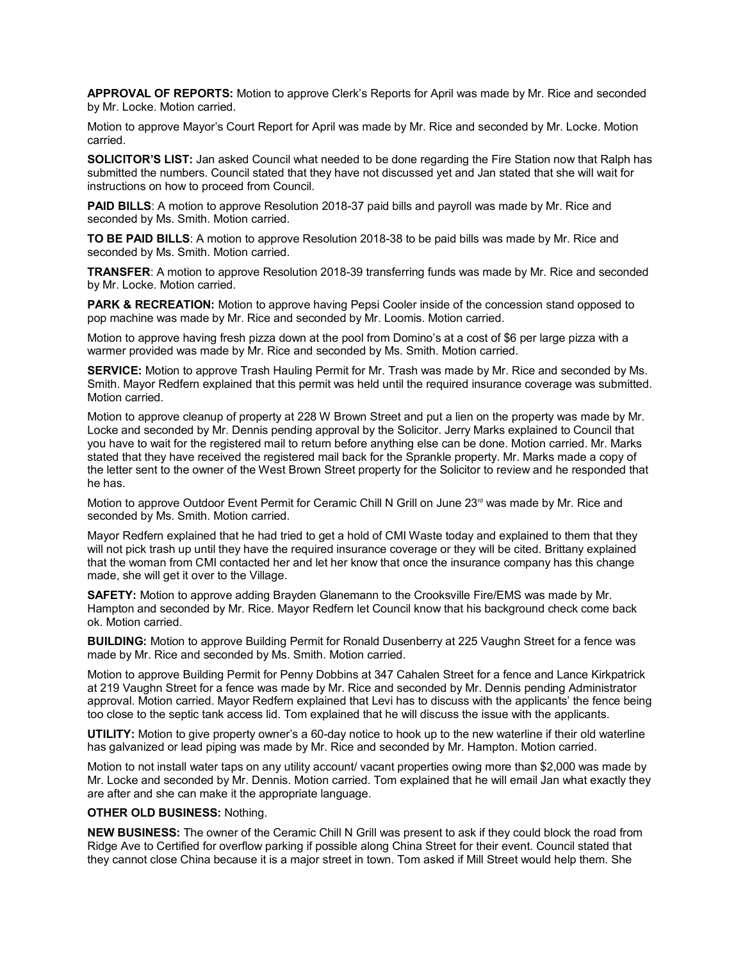**APPROVAL OF REPORTS:** Motion to approve Clerk's Reports for April was made by Mr. Rice and seconded by Mr. Locke. Motion carried.

Motion to approve Mayor's Court Report for April was made by Mr. Rice and seconded by Mr. Locke. Motion carried.

**SOLICITOR'S LIST:** Jan asked Council what needed to be done regarding the Fire Station now that Ralph has submitted the numbers. Council stated that they have not discussed yet and Jan stated that she will wait for instructions on how to proceed from Council.

**PAID BILLS:** A motion to approve Resolution 2018-37 paid bills and payroll was made by Mr. Rice and seconded by Ms. Smith. Motion carried.

**TO BE PAID BILLS**: A motion to approve Resolution 2018-38 to be paid bills was made by Mr. Rice and seconded by Ms. Smith. Motion carried.

**TRANSFER**: A motion to approve Resolution 2018-39 transferring funds was made by Mr. Rice and seconded by Mr. Locke. Motion carried.

**PARK & RECREATION:** Motion to approve having Pepsi Cooler inside of the concession stand opposed to pop machine was made by Mr. Rice and seconded by Mr. Loomis. Motion carried.

Motion to approve having fresh pizza down at the pool from Domino's at a cost of \$6 per large pizza with a warmer provided was made by Mr. Rice and seconded by Ms. Smith. Motion carried.

**SERVICE:** Motion to approve Trash Hauling Permit for Mr. Trash was made by Mr. Rice and seconded by Ms. Smith. Mayor Redfern explained that this permit was held until the required insurance coverage was submitted. Motion carried.

Motion to approve cleanup of property at 228 W Brown Street and put a lien on the property was made by Mr. Locke and seconded by Mr. Dennis pending approval by the Solicitor. Jerry Marks explained to Council that you have to wait for the registered mail to return before anything else can be done. Motion carried. Mr. Marks stated that they have received the registered mail back for the Sprankle property. Mr. Marks made a copy of the letter sent to the owner of the West Brown Street property for the Solicitor to review and he responded that he has.

Motion to approve Outdoor Event Permit for Ceramic Chill N Grill on June 23<sup>rd</sup> was made by Mr. Rice and seconded by Ms. Smith. Motion carried.

Mayor Redfern explained that he had tried to get a hold of CMI Waste today and explained to them that they will not pick trash up until they have the required insurance coverage or they will be cited. Brittany explained that the woman from CMI contacted her and let her know that once the insurance company has this change made, she will get it over to the Village.

**SAFETY:** Motion to approve adding Brayden Glanemann to the Crooksville Fire/EMS was made by Mr. Hampton and seconded by Mr. Rice. Mayor Redfern let Council know that his background check come back ok. Motion carried.

**BUILDING:** Motion to approve Building Permit for Ronald Dusenberry at 225 Vaughn Street for a fence was made by Mr. Rice and seconded by Ms. Smith. Motion carried.

Motion to approve Building Permit for Penny Dobbins at 347 Cahalen Street for a fence and Lance Kirkpatrick at 219 Vaughn Street for a fence was made by Mr. Rice and seconded by Mr. Dennis pending Administrator approval. Motion carried. Mayor Redfern explained that Levi has to discuss with the applicants' the fence being too close to the septic tank access lid. Tom explained that he will discuss the issue with the applicants.

**UTILITY:** Motion to give property owner's a 60-day notice to hook up to the new waterline if their old waterline has galvanized or lead piping was made by Mr. Rice and seconded by Mr. Hampton. Motion carried.

Motion to not install water taps on any utility account/ vacant properties owing more than \$2,000 was made by Mr. Locke and seconded by Mr. Dennis. Motion carried. Tom explained that he will email Jan what exactly they are after and she can make it the appropriate language.

## **OTHER OLD BUSINESS:** Nothing.

**NEW BUSINESS:** The owner of the Ceramic Chill N Grill was present to ask if they could block the road from Ridge Ave to Certified for overflow parking if possible along China Street for their event. Council stated that they cannot close China because it is a major street in town. Tom asked if Mill Street would help them. She